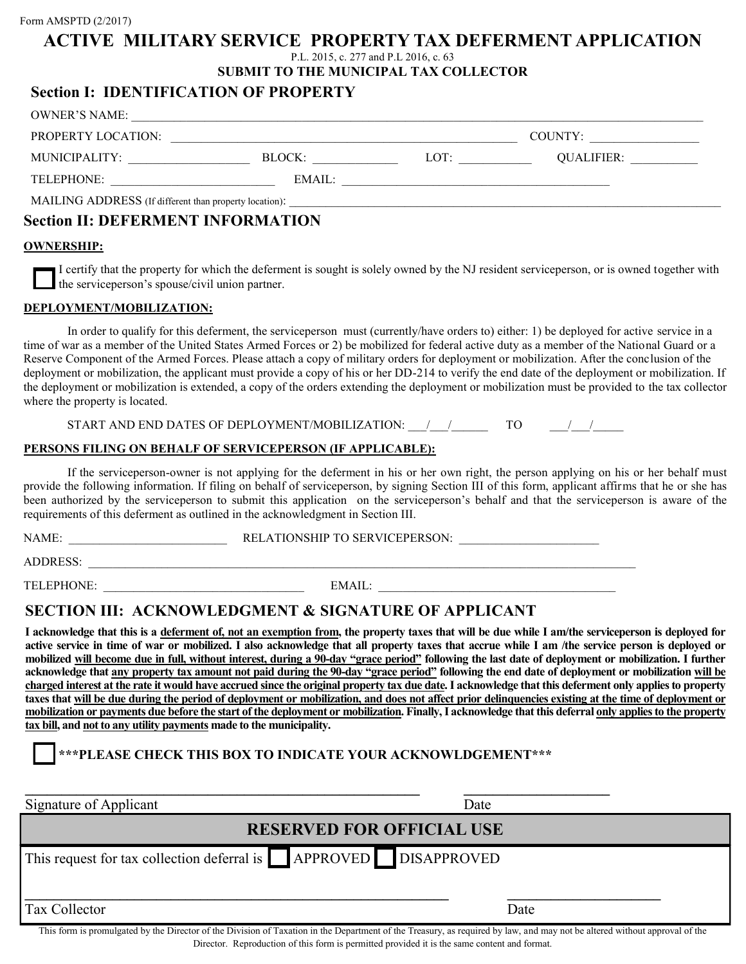#### Form AMSPTD (2/2017)

### **ACTIVE MILITARY SERVICE PROPERTY TAX DEFERMENT APPLICATION**

P.L. 2015, c. 277 and P.L 2016, c. 63

**SUBMIT TO THE MUNICIPAL TAX COLLECTOR**

### **Section I: IDENTIFICATION OF PROPERTY**

| OWNER'S NAME:                     |        |                                                                                                                      |                       |  |
|-----------------------------------|--------|----------------------------------------------------------------------------------------------------------------------|-----------------------|--|
| PROPERTY LOCATION:                |        |                                                                                                                      |                       |  |
| MUNICIPALITY:                     | BLOCK: | LOT:                                                                                                                 | QUALIFIER: __________ |  |
| TELEPHONE:                        | EMAIL: | <u> 1980 - Jan Barbara, martin a shekara 1980 - An tsa a tsa a tsa a tsa a tsa a tsa a tsa a tsa a tsa a tsa a t</u> |                       |  |
|                                   |        |                                                                                                                      |                       |  |
| Soction II: DEEEDMENT INFODMATION |        |                                                                                                                      |                       |  |

# **Section II: DEFERMENT INFORMATION**

#### **OWNERSHIP:**

I certify that the property for which the deferment is sought is solely owned by the NJ resident serviceperson, or is owned together with  $\Box$  the serviceperson's spouse/civil union partner.

#### **DEPLOYMENT/MOBILIZATION:**

In order to qualify for this deferment, the serviceperson must (currently/have orders to) either: 1) be deployed for active service in a time of war as a member of the United States Armed Forces or 2) be mobilized for federal active duty as a member of the National Guard or a Reserve Component of the Armed Forces. Please attach a copy of military orders for deployment or mobilization. After the conclusion of the deployment or mobilization, the applicant must provide a copy of his or her DD-214 to verify the end date of the deployment or mobilization. If the deployment or mobilization is extended, a copy of the orders extending the deployment or mobilization must be provided to the tax collector where the property is located.

START AND END DATES OF DEPLOYMENT/MOBILIZATION:  $\qquad$  /  $\qquad$  TO  $\qquad$  /  $\qquad$ 

#### **PERSONS FILING ON BEHALF OF SERVICEPERSON (IF APPLICABLE):**

If the serviceperson-owner is not applying for the deferment in his or her own right, the person applying on his or her behalf must provide the following information. If filing on behalf of serviceperson, by signing Section III of this form, applicant affirms that he or she has been authorized by the serviceperson to submit this application on the serviceperson's behalf and that the serviceperson is aware of the requirements of this deferment as outlined in the acknowledgment in Section III.

NAME: RELATIONSHIP TO SERVICEPERSON:

ADDRESS: \_\_\_\_\_\_\_\_\_\_\_\_\_\_\_\_\_\_\_\_\_\_\_\_\_\_\_\_\_\_\_\_\_\_\_\_\_\_\_\_\_\_\_\_\_\_\_\_\_\_\_\_\_\_\_\_\_\_\_\_\_\_\_\_\_\_\_\_\_\_\_\_\_\_\_\_\_\_\_\_\_\_\_\_\_\_\_\_\_\_

TELEPHONE: EMAIL:

# **SECTION III: ACKNOWLEDGMENT & SIGNATURE OF APPLICANT**

**I acknowledge that this is a deferment of, not an exemption from, the property taxes that will be due while I am/the serviceperson is deployed for active service in time of war or mobilized. I also acknowledge that all property taxes that accrue while I am /the service person is deployed or mobilized will become due in full, without interest, during a 90-day "grace period" following the last date of deployment or mobilization. I further acknowledge that any property tax amount not paid during the 90-day "grace period" following the end date of deployment or mobilization will be charged interest at the rate it would have accrued since the original property tax due date. I acknowledge that this deferment only applies to property taxes that will be due during the period of deployment or mobilization, and does not affect prior delinquencies existing at the time of deployment or mobilization or payments due before the start of the deployment or mobilization. Finally, I acknowledge that this deferral only applies to the property tax bill, and not to any utility payments made to the municipality.** 

### **\*\*\*PLEASE CHECK THIS BOX TO INDICATE YOUR ACKNOWLDGEMENT\*\*\***

| Signature of Applicant                                                                                                                                                                                   | Date                                                                                                                                                            |  |  |  |
|----------------------------------------------------------------------------------------------------------------------------------------------------------------------------------------------------------|-----------------------------------------------------------------------------------------------------------------------------------------------------------------|--|--|--|
| <b>RESERVED FOR OFFICIAL USE</b>                                                                                                                                                                         |                                                                                                                                                                 |  |  |  |
| This request for tax collection deferral is <b>APPROVED</b> DISAPPROVED                                                                                                                                  |                                                                                                                                                                 |  |  |  |
| <b>Tax Collector</b><br><b>In the second community of the community of the community of the community of the community of the community</b><br>$\alpha$ and $\alpha$ is the set of $\alpha$ and $\alpha$ | Date<br>the material contracts of the contracts of the contracts of the contracts of the contracts of the contracts of<br>$\sim$ $\sim$<br>$\sim$ $\sim$ $\sim$ |  |  |  |

This form is promulgated by the Director of the Division of Taxation in the Department of the Treasury, as required by law, and may not be altered without approval of the Director. Reproduction of this form is permitted provided it is the same content and format.